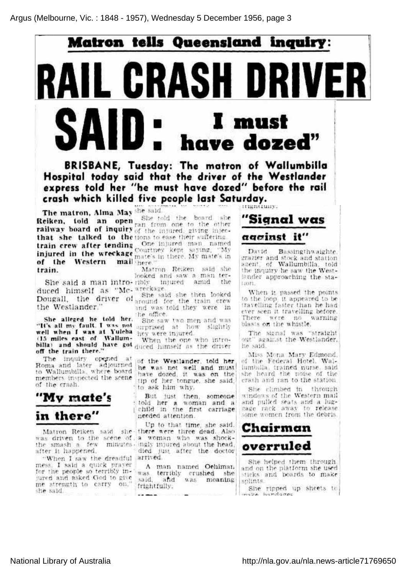## Matron tells Queensland inquiry : L GRASH DRI SAID <sup>I</sup> must have dozed"

BRISBANE, Tuesday: The matron of Wallumbilla Hospital today said that the driver of the Westlander express told her "be must have dozed" before the rail crash which killed five people last Saturday.

mantuny.

The matron, Alma May she said. Reiken, told an op<del>e</del> railway board of inquir that she talked to the tions to ease their suffering. train crew after tending injured in the wreckag of the Western ma train. She told the board she ran from one to the other of the injured, giving injec tions to ease their suffering. One injured man nam Courtney kept saying, "M mate's in there. My mate's in there." Matron Reiken said she

She said a man intro-ribly injured amid the duced himself as "Mc wreckage. looked and saw a man ter-

Dougall, the driver <sup>o</sup> She said she then looked around for the train crew and was told they were, in the office.

well when I was at Yuleba hey were injured.<br>(15 miles east of Wallum- when the one She saw two men and wa surprised at how' slightly

billa) and should have got duced himself as the driver When the one who intro

Roma and later adjourned of the Westlander, told her to Wallumbilla, where board members inspected the scene he was not well and must have dozed, it was on the tip of her tongue, she said, to ask him why.

> But just then, someone told her <sup>a</sup> woman and <sup>a</sup> child in the first carriage needed attention.

Matron Reiken said she there were three dead. Also was driven to the scene of, a woman who was shoc the smash <sup>a</sup> few minutes ingly injured about the head, "When I saw the dreadful arrived Up to that time, she said, died just after the doctor

> A man named Oehlman was terribly crushed she said, and was moaning frightfully.

"Signal was

## agginst it"

David Bassingthwaighte, grazier and stock and station agent, of Wallumbilla, told the inquiry he saw the Westlander approaching the sta tion.

When it passed the points to the loop, it appeared to be travelling faster than he had ever seen it travelling before. There were no warning blasts on the whistle.

The signal was "straight out" against the Westlander, he said.

Miss Mona Mary Edmond, of the Federal Hotel, Wal lumbilla, trained nurse, said she heard the noise of. the crash and ran to the station.

She climbed in through windows of the Western mail and pulled seats and <sup>a</sup> lug gage rack away to release some women from the debris.



She helped them through, and on the platform she used sticks and boards to make splints.

She ripped up sheets to

she said.

the Westlander."

off the train there."

"My mate's

in there"

after it happened.

mess, I said <sup>a</sup> quick prayer for the people so terribly in jured and asked God to give me ' strength to carry on,"

of the crash.

Sbe alleged he told her "It's all my fault. <sup>I</sup> was nol well when I was at Yuleb

The inquiry opened at